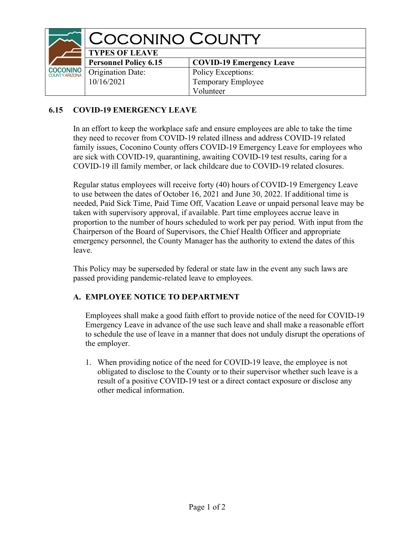|                                  | <b>COCONINO COUNTY</b>       |                                 |
|----------------------------------|------------------------------|---------------------------------|
|                                  | <b>TYPES OF LEAVE</b>        |                                 |
|                                  | <b>Personnel Policy 6.15</b> | <b>COVID-19 Emergency Leave</b> |
| <b>COCONINO</b><br>COUNTYARIZONA | <b>Origination Date:</b>     | Policy Exceptions:              |
|                                  | 10/16/2021                   | Temporary Employee              |
|                                  |                              | Volunteer                       |

## 6.15 COVID-19 EMERGENCY LEAVE

In an effort to keep the workplace safe and ensure employees are able to take the time they need to recover from COVID-19 related illness and address COVID-19 related family issues, Coconino County offers COVID-19 Emergency Leave for employees who are sick with COVID-19, quarantining, awaiting COVID-19 test results, caring for a COVID-19 ill family member, or lack childcare due to COVID-19 related closures.

Regular status employees will receive forty (40) hours of COVID-19 Emergency Leave to use between the dates of October 16, 2021 and June 30, 2022. If additional time is needed, Paid Sick Time, Paid Time Off, Vacation Leave or unpaid personal leave may be taken with supervisory approval, if available. Part time employees accrue leave in proportion to the number of hours scheduled to work per pay period. With input from the Chairperson of the Board of Supervisors, the Chief Health Officer and appropriate emergency personnel, the County Manager has the authority to extend the dates of this leave.

This Policy may be superseded by federal or state law in the event any such laws are passed providing pandemic-related leave to employees.

## A. EMPLOYEE NOTICE TO DEPARTMENT

Employees shall make a good faith effort to provide notice of the need for COVID-19 Emergency Leave in advance of the use such leave and shall make a reasonable effort to schedule the use of leave in a manner that does not unduly disrupt the operations of the employer.

1. When providing notice of the need for COVID-19 leave, the employee is not obligated to disclose to the County or to their supervisor whether such leave is a result of a positive COVID-19 test or a direct contact exposure or disclose any other medical information.